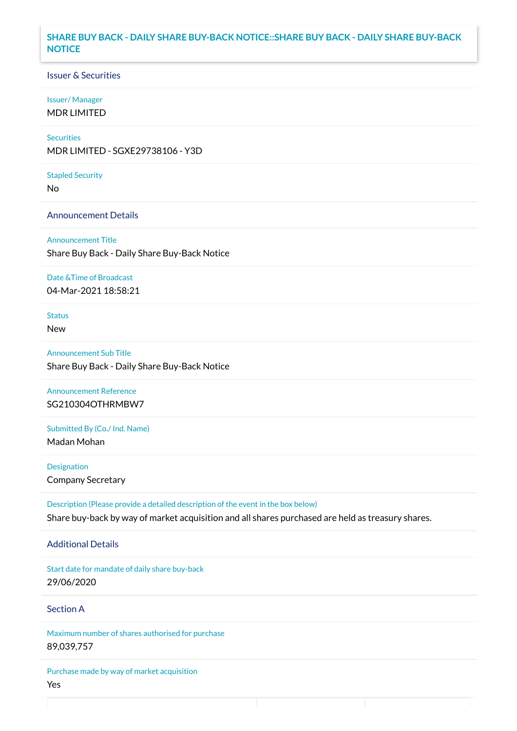### **SHARE BUY BACK - DAILY SHARE BUY-BACK NOTICE::SHARE BUY BACK - DAILY SHARE BUY-BACK NOTICE**

### Issuer & Securities

### Issuer/ Manager

MDR LIMITED

## **Securities**

MDR LIMITED - SGXE29738106 - Y3D

#### Stapled Security

No

### Announcement Details

Announcement Title Share Buy Back - Daily Share Buy-Back Notice

#### Date &Time of Broadcast

04-Mar-2021 18:58:21

## Status

New

Announcement Sub Title Share Buy Back - Daily Share Buy-Back Notice

Announcement Reference SG210304OTHRMBW7

Submitted By (Co./ Ind. Name)

Madan Mohan

**Designation** Company Secretary

Description (Please provide a detailed description of the event in the box below) Share buy-back by way of market acquisition and all shares purchased are held as treasury shares.

### Additional Details

Start date for mandate of daily share buy-back 29/06/2020

## Section A

Maximum number of shares authorised for purchase 89,039,757

Purchase made by way of market acquisition Yes